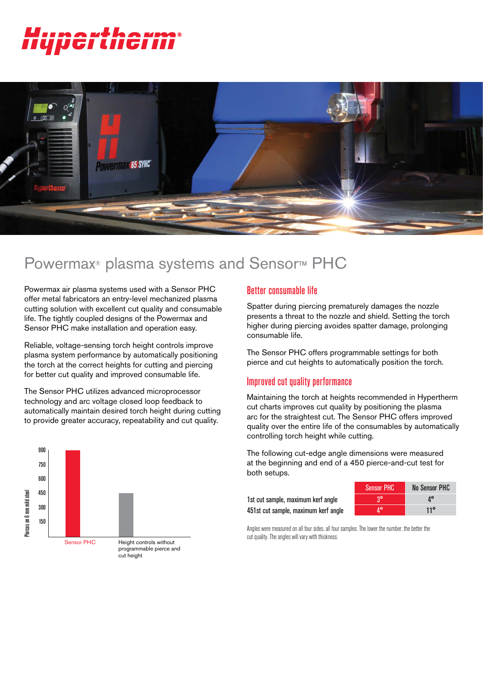# ertherm®



# Powermax<sup>®</sup> plasma systems and Sensor<sup>™</sup> PHC

Powermax air plasma systems used with a Sensor PHC offer metal fabricators an entry-level mechanized plasma cutting solution with excellent cut quality and consumable life. The tightly coupled designs of the Powermax and Sensor PHC make installation and operation easy.

Reliable, voltage-sensing torch height controls improve plasma system performance by automatically positioning the torch at the correct heights for cutting and piercing for better cut quality and improved consumable life.

The Sensor PHC utilizes advanced microprocessor technology and arc voltage closed loop feedback to automatically maintain desired torch height during cutting to provide greater accuracy, repeatability and cut quality.



### Better consumable life

Spatter during piercing prematurely damages the nozzle presents a threat to the nozzle and shield. Setting the torch higher during piercing avoides spatter damage, prolonging consumable life.

The Sensor PHC offers programmable settings for both pierce and cut heights to automatically position the torch.

#### Improved cut quality performance

Maintaining the torch at heights recommended in Hypertherm cut charts improves cut quality by positioning the plasma arc for the straightest cut. The Sensor PHC offers improved quality over the entire life of the consumables by automatically controlling torch height while cutting.

The following cut-edge angle dimensions were measured at the beginning and end of a 450 pierce-and-cut test for both setups.

1st cut sample, maximum kerf angle 451st cut sample, maximum kerf angle

| <b>Sensor PHC</b> | No Sensor PHC |
|-------------------|---------------|
|                   | 10            |
|                   | 11°           |

Angles were measured on all four sides, all four samples. The lower the number, the better the cut quality. The angles will vary with thickness.